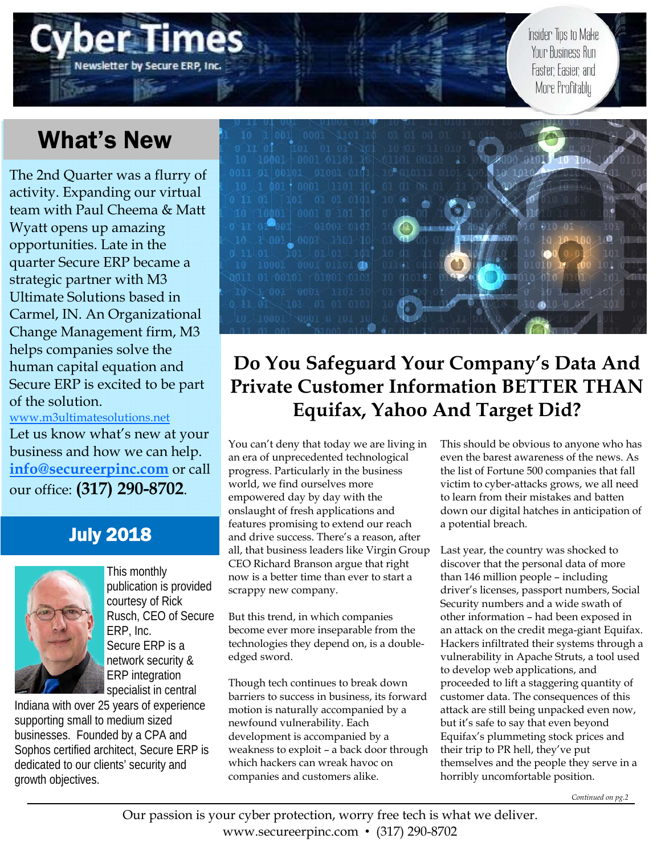### Newsletter by Secure ERP, Inc

Insider Tips to Make Your Business Run Faster: Easier: and More Profitably

## What's New

The 2nd Quarter was a flurry of activity. Expanding our virtual team with Paul Cheema & Matt Wyatt opens up amazing opportunities. Late in the quarter Secure ERP became a strategic partner with M3 Ultimate Solutions based in Carmel, IN. An Organizational Change Management firm, M3 helps companies solve the human capital equation and Secure ERP is excited to be part of the solution.

www.m3ultimatesolutions.net Let us know what's new at your business and how we can help. **info@secureerpinc.com** or call our office: **(317) 290-8702**.

#### July 2018



This monthly publication is provided courtesy of Rick Rusch, CEO of Secure ERP, Inc. Secure ERP is a network security & ERP integration specialist in central

Indiana with over 25 years of experience supporting small to medium sized businesses. Founded by a CPA and Sophos certified architect, Secure ERP is dedicated to our clients' security and growth objectives.



#### **Do You Safeguard Your Company's Data And Private Customer Information BETTER THAN Equifax, Yahoo And Target Did?**

You can't deny that today we are living in an era of unprecedented technological progress. Particularly in the business world, we find ourselves more empowered day by day with the onslaught of fresh applications and features promising to extend our reach and drive success. There's a reason, after all, that business leaders like Virgin Group CEO Richard Branson argue that right now is a better time than ever to start a scrappy new company.

But this trend, in which companies become ever more inseparable from the technologies they depend on, is a doubleedged sword.

Though tech continues to break down barriers to success in business, its forward motion is naturally accompanied by a newfound vulnerability. Each development is accompanied by a weakness to exploit – a back door through which hackers can wreak havoc on companies and customers alike.

This should be obvious to anyone who has even the barest awareness of the news. As the list of Fortune 500 companies that fall victim to cyber-attacks grows, we all need to learn from their mistakes and batten down our digital hatches in anticipation of a potential breach.

Last year, the country was shocked to discover that the personal data of more than 146 million people – including driver's licenses, passport numbers, Social Security numbers and a wide swath of other information – had been exposed in an attack on the credit mega-giant Equifax. Hackers infiltrated their systems through a vulnerability in Apache Struts, a tool used to develop web applications, and proceeded to lift a staggering quantity of customer data. The consequences of this attack are still being unpacked even now, but it's safe to say that even beyond Equifax's plummeting stock prices and their trip to PR hell, they've put themselves and the people they serve in a horribly uncomfortable position.

*Continued on pg.2*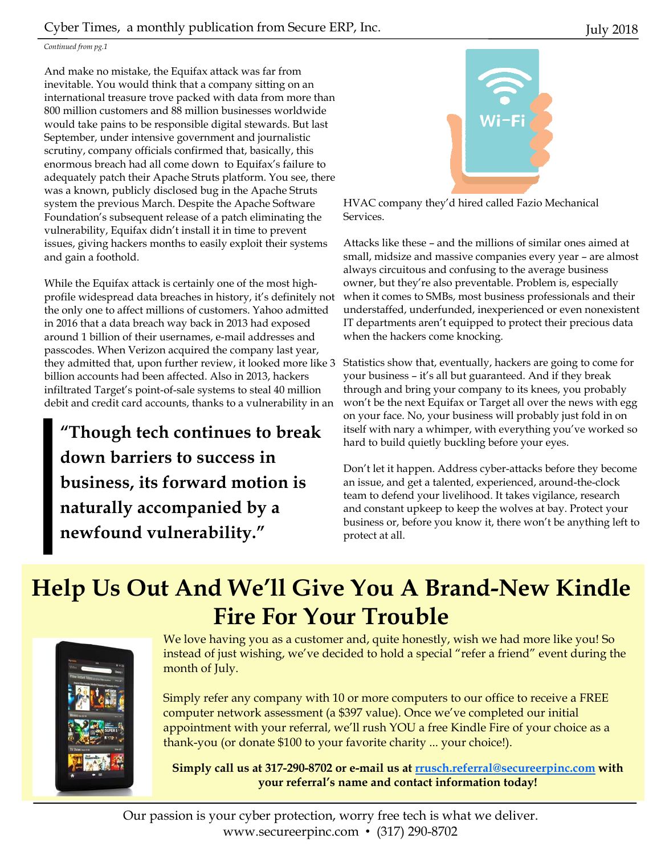#### Cyber Times, a monthly publication from Secure ERP, Inc. July 2018

#### *Continued from pg.1*

And make no mistake, the Equifax attack was far from inevitable. You would think that a company sitting on an international treasure trove packed with data from more than 800 million customers and 88 million businesses worldwide would take pains to be responsible digital stewards. But last September, under intensive government and journalistic scrutiny, company officials confirmed that, basically, this enormous breach had all come down to Equifax's failure to adequately patch their Apache Struts platform. You see, there was a known, publicly disclosed bug in the Apache Struts system the previous March. Despite the Apache Software Foundation's subsequent release of a patch eliminating the vulnerability, Equifax didn't install it in time to prevent issues, giving hackers months to easily exploit their systems and gain a foothold.

While the Equifax attack is certainly one of the most highprofile widespread data breaches in history, it's definitely not the only one to affect millions of customers. Yahoo admitted in 2016 that a data breach way back in 2013 had exposed around 1 billion of their usernames, e-mail addresses and passcodes. When Verizon acquired the company last year, they admitted that, upon further review, it looked more like 3 billion accounts had been affected. Also in 2013, hackers infiltrated Target's point-of-sale systems to steal 40 million debit and credit card accounts, thanks to a vulnerability in an

**"Though tech continues to break down barriers to success in business, its forward motion is naturally accompanied by a newfound vulnerability."** 



HVAC company they'd hired called Fazio Mechanical Services.

Attacks like these – and the millions of similar ones aimed at small, midsize and massive companies every year – are almost always circuitous and confusing to the average business owner, but they're also preventable. Problem is, especially when it comes to SMBs, most business professionals and their understaffed, underfunded, inexperienced or even nonexistent IT departments aren't equipped to protect their precious data when the hackers come knocking.

Statistics show that, eventually, hackers are going to come for your business – it's all but guaranteed. And if they break through and bring your company to its knees, you probably won't be the next Equifax or Target all over the news with egg on your face. No, your business will probably just fold in on itself with nary a whimper, with everything you've worked so hard to build quietly buckling before your eyes.

Don't let it happen. Address cyber-attacks before they become an issue, and get a talented, experienced, around-the-clock team to defend your livelihood. It takes vigilance, research and constant upkeep to keep the wolves at bay. Protect your business or, before you know it, there won't be anything left to protect at all.

### **Help Us Out And We'll Give You A Brand-New Kindle Fire For Your Trouble**



We love having you as a customer and, quite honestly, wish we had more like you! So instead of just wishing, we've decided to hold a special "refer a friend" event during the month of July.

Simply refer any company with 10 or more computers to our office to receive a FREE computer network assessment (a \$397 value). Once we've completed our initial appointment with your referral, we'll rush YOU a free Kindle Fire of your choice as a thank-you (or donate \$100 to your favorite charity ... your choice!).

**Simply call us at 317-290-8702 or e-mail us at rrusch.referral@secureerpinc.com with your referral's name and contact information today!**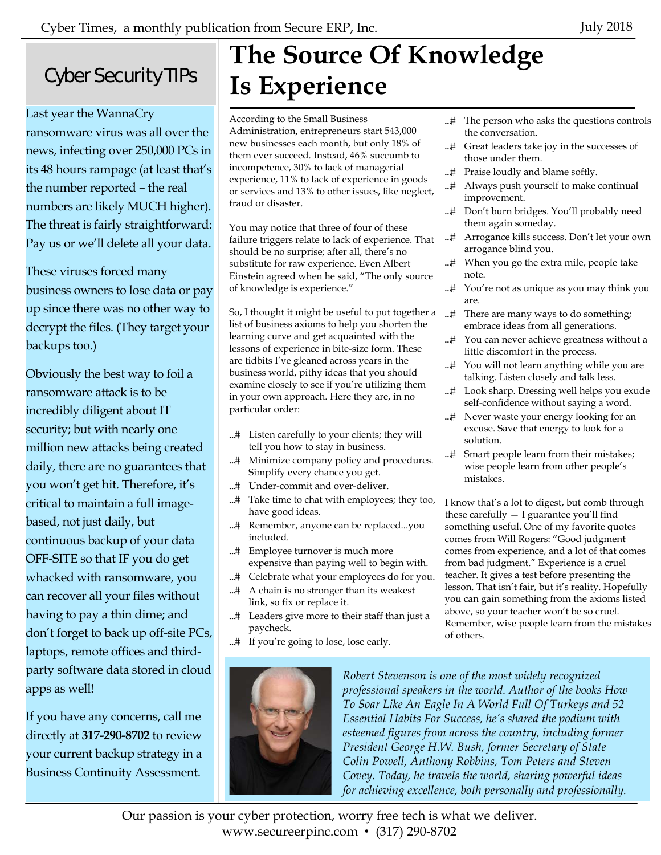### Cyber Security TIPs

Last year the WannaCry ransomware virus was all over the news, infecting over 250,000 PCs in its 48 hours rampage (at least that's the number reported – the real numbers are likely MUCH higher). The threat is fairly straightforward: Pay us or we'll delete all your data.

These viruses forced many business owners to lose data or pay up since there was no other way to decrypt the files. (They target your backups too.)

Obviously the best way to foil a ransomware attack is to be incredibly diligent about IT security; but with nearly one million new attacks being created daily, there are no guarantees that you won't get hit. Therefore, it's critical to maintain a full imagebased, not just daily, but continuous backup of your data OFF-SITE so that IF you do get whacked with ransomware, you can recover all your files without having to pay a thin dime; and don't forget to back up off-site PCs, laptops, remote offices and thirdparty software data stored in cloud apps as well!

If you have any concerns, call me directly at **317-290-8702** to review your current backup strategy in a Business Continuity Assessment.

# **The Source Of Knowledge Is Experience**

According to the Small Business Administration, entrepreneurs start 543,000 new businesses each month, but only 18% of them ever succeed. Instead, 46% succumb to incompetence, 30% to lack of managerial experience, 11% to lack of experience in goods or services and 13% to other issues, like neglect, fraud or disaster.

You may notice that three of four of these failure triggers relate to lack of experience. That should be no surprise; after all, there's no substitute for raw experience. Even Albert Einstein agreed when he said, "The only source of knowledge is experience."

So, I thought it might be useful to put together a list of business axioms to help you shorten the learning curve and get acquainted with the lessons of experience in bite-size form. These are tidbits I've gleaned across years in the business world, pithy ideas that you should examine closely to see if you're utilizing them in your own approach. Here they are, in no particular order:

- Listen carefully to your clients; they will tell you how to stay in business.
- ...# Minimize company policy and procedures. Simplify every chance you get.
- ...# Under-commit and over-deliver.
- ...# Take time to chat with employees; they too, have good ideas.
- ...# Remember, anyone can be replaced...you included.
- ...# Employee turnover is much more expensive than paying well to begin with.
- ...# Celebrate what your employees do for you. ...# A chain is no stronger than its weakest link, so fix or replace it.
- ...# Leaders give more to their staff than just a paycheck.
- ...# If you're going to lose, lose early.



*Robert Stevenson is one of the most widely recognized professional speakers in the world. Author of the books How To Soar Like An Eagle In A World Full Of Turkeys and 52 Essential Habits For Success, he's shared the podium with esteemed figures from across the country, including former President George H.W. Bush, former Secretary of State Colin Powell, Anthony Robbins, Tom Peters and Steven Covey. Today, he travels the world, sharing powerful ideas for achieving excellence, both personally and professionally.* 

Our passion is your cyber protection, worry free tech is what we deliver. www.secureerpinc.com • (317) 290-8702

- ...# The person who asks the questions controls the conversation.
- ...# Great leaders take joy in the successes of those under them.
- ...# Praise loudly and blame softly.
- Always push yourself to make continual improvement.
- ...# Don't burn bridges. You'll probably need them again someday.
- ...# Arrogance kills success. Don't let your own arrogance blind you.
- ...# When you go the extra mile, people take note.
- ...# You're not as unique as you may think you are.
- ...# There are many ways to do something; embrace ideas from all generations.
- ...# You can never achieve greatness without a little discomfort in the process.
- ...# You will not learn anything while you are talking. Listen closely and talk less.
- ...# Look sharp. Dressing well helps you exude self-confidence without saying a word.
- ...# Never waste your energy looking for an excuse. Save that energy to look for a solution.
- ...# Smart people learn from their mistakes; wise people learn from other people's mistakes.

I know that's a lot to digest, but comb through these carefully  $-$  I guarantee you'll find something useful. One of my favorite quotes comes from Will Rogers: "Good judgment comes from experience, and a lot of that comes from bad judgment." Experience is a cruel teacher. It gives a test before presenting the lesson. That isn't fair, but it's reality. Hopefully you can gain something from the axioms listed above, so your teacher won't be so cruel. Remember, wise people learn from the mistakes of others.